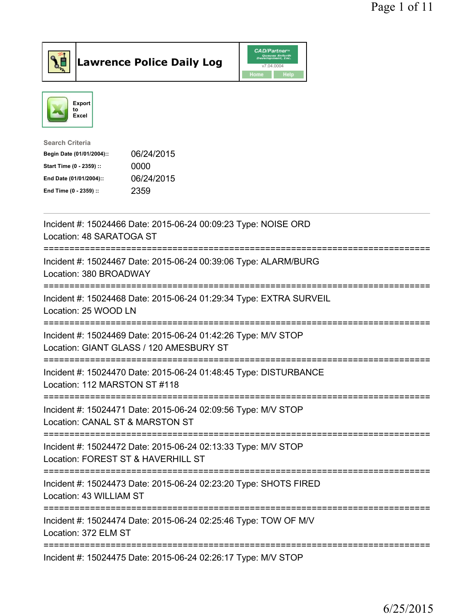

**Lawrence Police Daily Log** CAD/Partner



| <b>Search Criteria</b>    |            |
|---------------------------|------------|
| Begin Date (01/01/2004):: | 06/24/2015 |
| Start Time (0 - 2359) ::  | 0000       |
| End Date (01/01/2004)::   | 06/24/2015 |
| End Time (0 - 2359) ::    | 2359       |

| Incident #: 15024466 Date: 2015-06-24 00:09:23 Type: NOISE ORD<br>Location: 48 SARATOGA ST                                                 |
|--------------------------------------------------------------------------------------------------------------------------------------------|
| Incident #: 15024467 Date: 2015-06-24 00:39:06 Type: ALARM/BURG<br>Location: 380 BROADWAY                                                  |
| Incident #: 15024468 Date: 2015-06-24 01:29:34 Type: EXTRA SURVEIL<br>Location: 25 WOOD LN<br>----------------                             |
| Incident #: 15024469 Date: 2015-06-24 01:42:26 Type: M/V STOP<br>Location: GIANT GLASS / 120 AMESBURY ST<br>==========================     |
| Incident #: 15024470 Date: 2015-06-24 01:48:45 Type: DISTURBANCE<br>Location: 112 MARSTON ST #118<br>------------------------------------- |
| Incident #: 15024471 Date: 2015-06-24 02:09:56 Type: M/V STOP<br>Location: CANAL ST & MARSTON ST<br>===========================            |
| Incident #: 15024472 Date: 2015-06-24 02:13:33 Type: M/V STOP<br>Location: FOREST ST & HAVERHILL ST                                        |
| Incident #: 15024473 Date: 2015-06-24 02:23:20 Type: SHOTS FIRED<br>Location: 43 WILLIAM ST                                                |
| Incident #: 15024474 Date: 2015-06-24 02:25:46 Type: TOW OF M/V<br>Location: 372 ELM ST                                                    |
| Incident #: 15024475 Date: 2015-06-24 02:26:17 Type: M/V STOP                                                                              |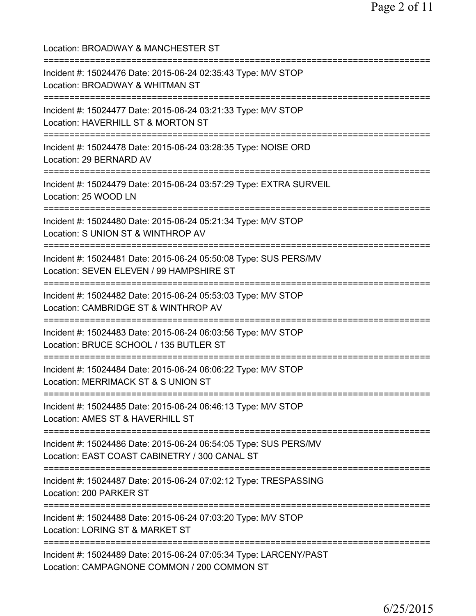| Location: BROADWAY & MANCHESTER ST<br>:=========================                                                                                     |
|------------------------------------------------------------------------------------------------------------------------------------------------------|
| Incident #: 15024476 Date: 2015-06-24 02:35:43 Type: M/V STOP<br>Location: BROADWAY & WHITMAN ST                                                     |
| Incident #: 15024477 Date: 2015-06-24 03:21:33 Type: M/V STOP<br>Location: HAVERHILL ST & MORTON ST                                                  |
| Incident #: 15024478 Date: 2015-06-24 03:28:35 Type: NOISE ORD<br>Location: 29 BERNARD AV<br>=================                                       |
| Incident #: 15024479 Date: 2015-06-24 03:57:29 Type: EXTRA SURVEIL<br>Location: 25 WOOD LN                                                           |
| ======================================<br>Incident #: 15024480 Date: 2015-06-24 05:21:34 Type: M/V STOP<br>Location: S UNION ST & WINTHROP AV        |
| Incident #: 15024481 Date: 2015-06-24 05:50:08 Type: SUS PERS/MV<br>Location: SEVEN ELEVEN / 99 HAMPSHIRE ST<br>:=================================== |
| Incident #: 15024482 Date: 2015-06-24 05:53:03 Type: M/V STOP<br>Location: CAMBRIDGE ST & WINTHROP AV<br>===========================                 |
| Incident #: 15024483 Date: 2015-06-24 06:03:56 Type: M/V STOP<br>Location: BRUCE SCHOOL / 135 BUTLER ST<br>=================================         |
| Incident #: 15024484 Date: 2015-06-24 06:06:22 Type: M/V STOP<br>Location: MERRIMACK ST & S UNION ST                                                 |
| Incident #: 15024485 Date: 2015-06-24 06:46:13 Type: M/V STOP<br>Location: AMES ST & HAVERHILL ST                                                    |
| Incident #: 15024486 Date: 2015-06-24 06:54:05 Type: SUS PERS/MV<br>Location: EAST COAST CABINETRY / 300 CANAL ST                                    |
| Incident #: 15024487 Date: 2015-06-24 07:02:12 Type: TRESPASSING<br>Location: 200 PARKER ST                                                          |
| Incident #: 15024488 Date: 2015-06-24 07:03:20 Type: M/V STOP<br>Location: LORING ST & MARKET ST                                                     |
| Incident #: 15024489 Date: 2015-06-24 07:05:34 Type: LARCENY/PAST<br>Location: CAMPAGNONE COMMON / 200 COMMON ST                                     |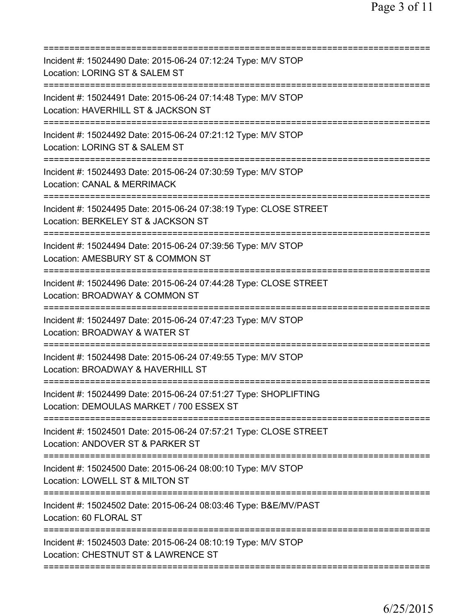| Incident #: 15024490 Date: 2015-06-24 07:12:24 Type: M/V STOP<br>Location: LORING ST & SALEM ST                                     |
|-------------------------------------------------------------------------------------------------------------------------------------|
| Incident #: 15024491 Date: 2015-06-24 07:14:48 Type: M/V STOP<br>Location: HAVERHILL ST & JACKSON ST                                |
| Incident #: 15024492 Date: 2015-06-24 07:21:12 Type: M/V STOP<br>Location: LORING ST & SALEM ST<br>==================               |
| Incident #: 15024493 Date: 2015-06-24 07:30:59 Type: M/V STOP<br>Location: CANAL & MERRIMACK<br>======================              |
| Incident #: 15024495 Date: 2015-06-24 07:38:19 Type: CLOSE STREET<br>Location: BERKELEY ST & JACKSON ST                             |
| Incident #: 15024494 Date: 2015-06-24 07:39:56 Type: M/V STOP<br>Location: AMESBURY ST & COMMON ST<br>============================= |
| Incident #: 15024496 Date: 2015-06-24 07:44:28 Type: CLOSE STREET<br>Location: BROADWAY & COMMON ST<br>:========================    |
| Incident #: 15024497 Date: 2015-06-24 07:47:23 Type: M/V STOP<br>Location: BROADWAY & WATER ST                                      |
| Incident #: 15024498 Date: 2015-06-24 07:49:55 Type: M/V STOP<br>Location: BROADWAY & HAVERHILL ST                                  |
| Incident #: 15024499 Date: 2015-06-24 07:51:27 Type: SHOPLIFTING<br>Location: DEMOULAS MARKET / 700 ESSEX ST                        |
| Incident #: 15024501 Date: 2015-06-24 07:57:21 Type: CLOSE STREET<br>Location: ANDOVER ST & PARKER ST                               |
| Incident #: 15024500 Date: 2015-06-24 08:00:10 Type: M/V STOP<br>Location: LOWELL ST & MILTON ST                                    |
| Incident #: 15024502 Date: 2015-06-24 08:03:46 Type: B&E/MV/PAST<br>Location: 60 FLORAL ST                                          |
| Incident #: 15024503 Date: 2015-06-24 08:10:19 Type: M/V STOP<br>Location: CHESTNUT ST & LAWRENCE ST                                |
|                                                                                                                                     |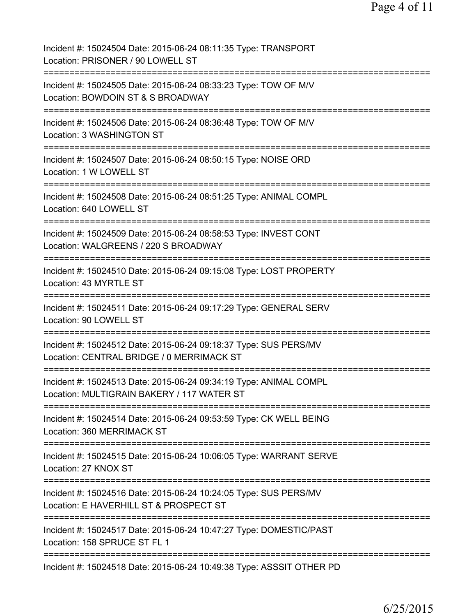| Incident #: 15024504 Date: 2015-06-24 08:11:35 Type: TRANSPORT<br>Location: PRISONER / 90 LOWELL ST                                  |
|--------------------------------------------------------------------------------------------------------------------------------------|
| Incident #: 15024505 Date: 2015-06-24 08:33:23 Type: TOW OF M/V<br>Location: BOWDOIN ST & S BROADWAY                                 |
| Incident #: 15024506 Date: 2015-06-24 08:36:48 Type: TOW OF M/V<br>Location: 3 WASHINGTON ST                                         |
| Incident #: 15024507 Date: 2015-06-24 08:50:15 Type: NOISE ORD<br>Location: 1 W LOWELL ST                                            |
| Incident #: 15024508 Date: 2015-06-24 08:51:25 Type: ANIMAL COMPL<br>Location: 640 LOWELL ST                                         |
| Incident #: 15024509 Date: 2015-06-24 08:58:53 Type: INVEST CONT<br>Location: WALGREENS / 220 S BROADWAY                             |
| Incident #: 15024510 Date: 2015-06-24 09:15:08 Type: LOST PROPERTY<br>Location: 43 MYRTLE ST<br>:=================================== |
| Incident #: 15024511 Date: 2015-06-24 09:17:29 Type: GENERAL SERV<br>Location: 90 LOWELL ST                                          |
| Incident #: 15024512 Date: 2015-06-24 09:18:37 Type: SUS PERS/MV<br>Location: CENTRAL BRIDGE / 0 MERRIMACK ST                        |
| Incident #: 15024513 Date: 2015-06-24 09:34:19 Type: ANIMAL COMPL<br>Location: MULTIGRAIN BAKERY / 117 WATER ST                      |
| Incident #: 15024514 Date: 2015-06-24 09:53:59 Type: CK WELL BEING<br>Location: 360 MERRIMACK ST                                     |
| Incident #: 15024515 Date: 2015-06-24 10:06:05 Type: WARRANT SERVE<br>Location: 27 KNOX ST                                           |
| Incident #: 15024516 Date: 2015-06-24 10:24:05 Type: SUS PERS/MV<br>Location: E HAVERHILL ST & PROSPECT ST                           |
| Incident #: 15024517 Date: 2015-06-24 10:47:27 Type: DOMESTIC/PAST<br>Location: 158 SPRUCE ST FL 1                                   |
| Incident #: 15024518 Date: 2015-06-24 10:49:38 Type: ASSSIT OTHER PD                                                                 |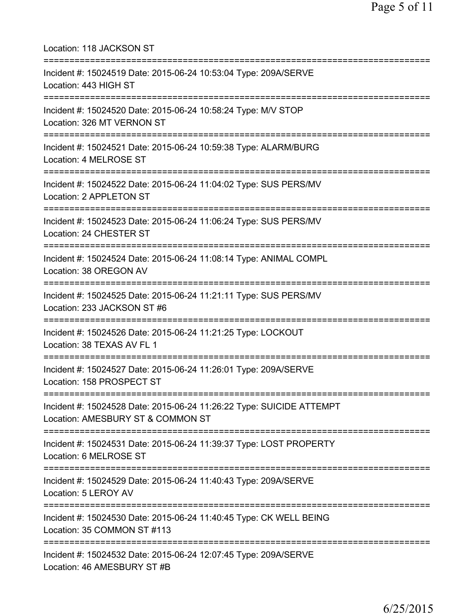| Location: 118 JACKSON ST<br>====================================                                                                                   |
|----------------------------------------------------------------------------------------------------------------------------------------------------|
| Incident #: 15024519 Date: 2015-06-24 10:53:04 Type: 209A/SERVE<br>Location: 443 HIGH ST                                                           |
| Incident #: 15024520 Date: 2015-06-24 10:58:24 Type: M/V STOP<br>Location: 326 MT VERNON ST<br>=======================                             |
| Incident #: 15024521 Date: 2015-06-24 10:59:38 Type: ALARM/BURG<br>Location: 4 MELROSE ST<br>==========================                            |
| Incident #: 15024522 Date: 2015-06-24 11:04:02 Type: SUS PERS/MV<br>Location: 2 APPLETON ST                                                        |
| Incident #: 15024523 Date: 2015-06-24 11:06:24 Type: SUS PERS/MV<br>Location: 24 CHESTER ST                                                        |
| Incident #: 15024524 Date: 2015-06-24 11:08:14 Type: ANIMAL COMPL<br>Location: 38 OREGON AV                                                        |
| Incident #: 15024525 Date: 2015-06-24 11:21:11 Type: SUS PERS/MV<br>Location: 233 JACKSON ST #6                                                    |
| Incident #: 15024526 Date: 2015-06-24 11:21:25 Type: LOCKOUT<br>Location: 38 TEXAS AV FL 1                                                         |
| Incident #: 15024527 Date: 2015-06-24 11:26:01 Type: 209A/SERVE<br>Location: 158 PROSPECT ST                                                       |
| =====================================<br>Incident #: 15024528 Date: 2015-06-24 11:26:22 Type: SUICIDE ATTEMPT<br>Location: AMESBURY ST & COMMON ST |
| Incident #: 15024531 Date: 2015-06-24 11:39:37 Type: LOST PROPERTY<br>Location: 6 MELROSE ST                                                       |
| Incident #: 15024529 Date: 2015-06-24 11:40:43 Type: 209A/SERVE<br>Location: 5 LEROY AV                                                            |
| Incident #: 15024530 Date: 2015-06-24 11:40:45 Type: CK WELL BEING<br>Location: 35 COMMON ST #113                                                  |
| Incident #: 15024532 Date: 2015-06-24 12:07:45 Type: 209A/SERVE<br>Location: 46 AMESBURY ST #B                                                     |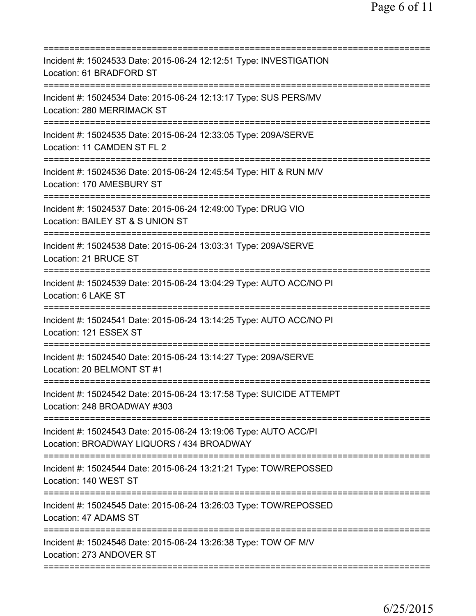| Incident #: 15024533 Date: 2015-06-24 12:12:51 Type: INVESTIGATION<br>Location: 61 BRADFORD ST                |
|---------------------------------------------------------------------------------------------------------------|
| Incident #: 15024534 Date: 2015-06-24 12:13:17 Type: SUS PERS/MV<br>Location: 280 MERRIMACK ST                |
| Incident #: 15024535 Date: 2015-06-24 12:33:05 Type: 209A/SERVE<br>Location: 11 CAMDEN ST FL 2                |
| Incident #: 15024536 Date: 2015-06-24 12:45:54 Type: HIT & RUN M/V<br>Location: 170 AMESBURY ST               |
| Incident #: 15024537 Date: 2015-06-24 12:49:00 Type: DRUG VIO<br>Location: BAILEY ST & S UNION ST             |
| Incident #: 15024538 Date: 2015-06-24 13:03:31 Type: 209A/SERVE<br>Location: 21 BRUCE ST                      |
| Incident #: 15024539 Date: 2015-06-24 13:04:29 Type: AUTO ACC/NO PI<br>Location: 6 LAKE ST                    |
| Incident #: 15024541 Date: 2015-06-24 13:14:25 Type: AUTO ACC/NO PI<br>Location: 121 ESSEX ST                 |
| Incident #: 15024540 Date: 2015-06-24 13:14:27 Type: 209A/SERVE<br>Location: 20 BELMONT ST #1                 |
| Incident #: 15024542 Date: 2015-06-24 13:17:58 Type: SUICIDE ATTEMPT<br>Location: 248 BROADWAY #303           |
| Incident #: 15024543 Date: 2015-06-24 13:19:06 Type: AUTO ACC/PI<br>Location: BROADWAY LIQUORS / 434 BROADWAY |
| Incident #: 15024544 Date: 2015-06-24 13:21:21 Type: TOW/REPOSSED<br>Location: 140 WEST ST                    |
| Incident #: 15024545 Date: 2015-06-24 13:26:03 Type: TOW/REPOSSED<br>Location: 47 ADAMS ST                    |
| Incident #: 15024546 Date: 2015-06-24 13:26:38 Type: TOW OF M/V<br>Location: 273 ANDOVER ST                   |
|                                                                                                               |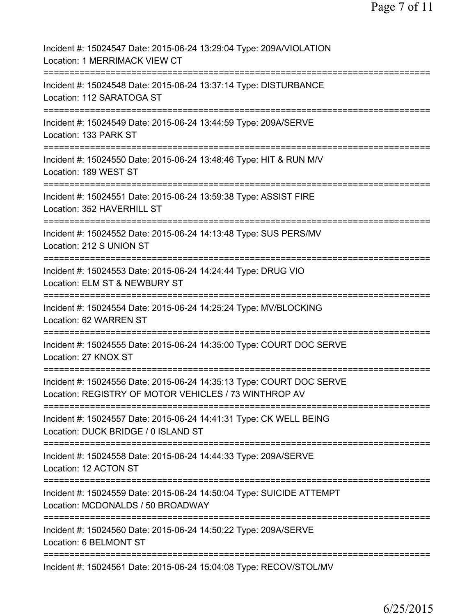| Incident #: 15024547 Date: 2015-06-24 13:29:04 Type: 209A/VIOLATION<br>Location: 1 MERRIMACK VIEW CT                                                |
|-----------------------------------------------------------------------------------------------------------------------------------------------------|
| Incident #: 15024548 Date: 2015-06-24 13:37:14 Type: DISTURBANCE<br>Location: 112 SARATOGA ST                                                       |
| Incident #: 15024549 Date: 2015-06-24 13:44:59 Type: 209A/SERVE<br>Location: 133 PARK ST                                                            |
| Incident #: 15024550 Date: 2015-06-24 13:48:46 Type: HIT & RUN M/V<br>Location: 189 WEST ST                                                         |
| Incident #: 15024551 Date: 2015-06-24 13:59:38 Type: ASSIST FIRE<br>Location: 352 HAVERHILL ST                                                      |
| Incident #: 15024552 Date: 2015-06-24 14:13:48 Type: SUS PERS/MV<br>Location: 212 S UNION ST                                                        |
| Incident #: 15024553 Date: 2015-06-24 14:24:44 Type: DRUG VIO<br>Location: ELM ST & NEWBURY ST                                                      |
| Incident #: 15024554 Date: 2015-06-24 14:25:24 Type: MV/BLOCKING<br>Location: 62 WARREN ST                                                          |
| Incident #: 15024555 Date: 2015-06-24 14:35:00 Type: COURT DOC SERVE<br>Location: 27 KNOX ST                                                        |
| Incident #: 15024556 Date: 2015-06-24 14:35:13 Type: COURT DOC SERVE<br>Location: REGISTRY OF MOTOR VEHICLES / 73 WINTHROP AV                       |
| ======================================<br>Incident #: 15024557 Date: 2015-06-24 14:41:31 Type: CK WELL BEING<br>Location: DUCK BRIDGE / 0 ISLAND ST |
| ===============================<br>Incident #: 15024558 Date: 2015-06-24 14:44:33 Type: 209A/SERVE<br>Location: 12 ACTON ST                         |
| Incident #: 15024559 Date: 2015-06-24 14:50:04 Type: SUICIDE ATTEMPT<br>Location: MCDONALDS / 50 BROADWAY                                           |
| Incident #: 15024560 Date: 2015-06-24 14:50:22 Type: 209A/SERVE<br>Location: 6 BELMONT ST                                                           |
| Incident #: 15024561 Date: 2015-06-24 15:04:08 Type: RECOV/STOL/MV                                                                                  |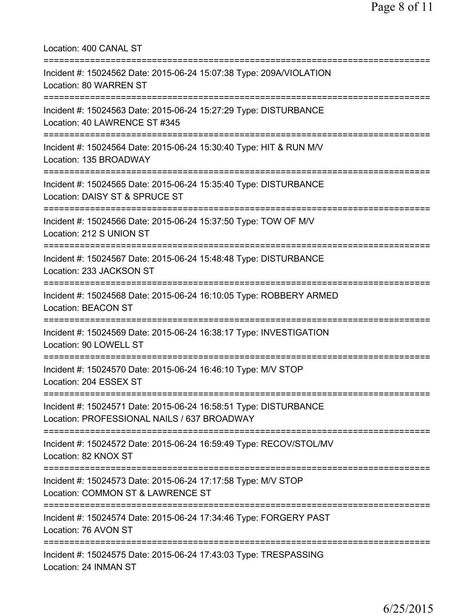| Location: 400 CANAL ST<br>============================                                                                                                  |
|---------------------------------------------------------------------------------------------------------------------------------------------------------|
| Incident #: 15024562 Date: 2015-06-24 15:07:38 Type: 209A/VIOLATION<br>Location: 80 WARREN ST<br>====================================                   |
| Incident #: 15024563 Date: 2015-06-24 15:27:29 Type: DISTURBANCE<br>Location: 40 LAWRENCE ST #345                                                       |
| Incident #: 15024564 Date: 2015-06-24 15:30:40 Type: HIT & RUN M/V<br>Location: 135 BROADWAY                                                            |
| ===================================<br>Incident #: 15024565 Date: 2015-06-24 15:35:40 Type: DISTURBANCE<br>Location: DAISY ST & SPRUCE ST               |
| ;=======================<br>Incident #: 15024566 Date: 2015-06-24 15:37:50 Type: TOW OF M/V<br>Location: 212 S UNION ST                                 |
| Incident #: 15024567 Date: 2015-06-24 15:48:48 Type: DISTURBANCE<br>Location: 233 JACKSON ST                                                            |
| Incident #: 15024568 Date: 2015-06-24 16:10:05 Type: ROBBERY ARMED<br><b>Location: BEACON ST</b>                                                        |
| Incident #: 15024569 Date: 2015-06-24 16:38:17 Type: INVESTIGATION<br>Location: 90 LOWELL ST                                                            |
| Incident #: 15024570 Date: 2015-06-24 16:46:10 Type: M/V STOP<br>Location: 204 ESSEX ST                                                                 |
| ====================================<br>Incident #: 15024571 Date: 2015-06-24 16:58:51 Type: DISTURBANCE<br>Location: PROFESSIONAL NAILS / 637 BROADWAY |
| ;===============================<br>Incident #: 15024572 Date: 2015-06-24 16:59:49 Type: RECOV/STOL/MV<br>Location: 82 KNOX ST                          |
| Incident #: 15024573 Date: 2015-06-24 17:17:58 Type: M/V STOP<br>Location: COMMON ST & LAWRENCE ST                                                      |
| Incident #: 15024574 Date: 2015-06-24 17:34:46 Type: FORGERY PAST<br>Location: 76 AVON ST                                                               |
| Incident #: 15024575 Date: 2015-06-24 17:43:03 Type: TRESPASSING<br>Location: 24 INMAN ST                                                               |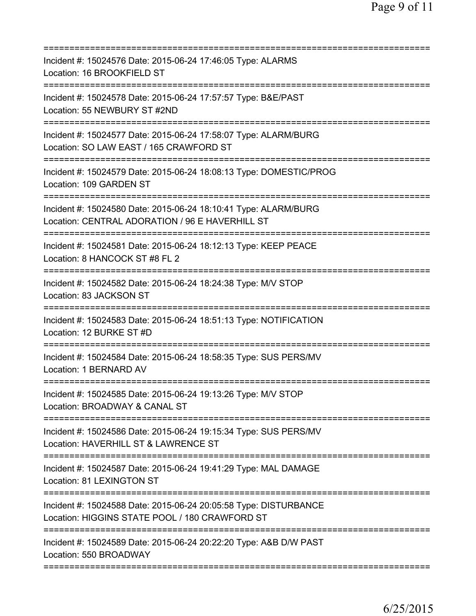| Incident #: 15024576 Date: 2015-06-24 17:46:05 Type: ALARMS<br>Location: 16 BROOKFIELD ST                                                       |
|-------------------------------------------------------------------------------------------------------------------------------------------------|
| Incident #: 15024578 Date: 2015-06-24 17:57:57 Type: B&E/PAST<br>Location: 55 NEWBURY ST #2ND                                                   |
| Incident #: 15024577 Date: 2015-06-24 17:58:07 Type: ALARM/BURG<br>Location: SO LAW EAST / 165 CRAWFORD ST                                      |
| Incident #: 15024579 Date: 2015-06-24 18:08:13 Type: DOMESTIC/PROG<br>Location: 109 GARDEN ST                                                   |
| Incident #: 15024580 Date: 2015-06-24 18:10:41 Type: ALARM/BURG<br>Location: CENTRAL ADORATION / 96 E HAVERHILL ST                              |
| Incident #: 15024581 Date: 2015-06-24 18:12:13 Type: KEEP PEACE<br>Location: 8 HANCOCK ST #8 FL 2<br>=========================<br>------------- |
| Incident #: 15024582 Date: 2015-06-24 18:24:38 Type: M/V STOP<br>Location: 83 JACKSON ST                                                        |
| Incident #: 15024583 Date: 2015-06-24 18:51:13 Type: NOTIFICATION<br>Location: 12 BURKE ST #D                                                   |
| Incident #: 15024584 Date: 2015-06-24 18:58:35 Type: SUS PERS/MV<br>Location: 1 BERNARD AV                                                      |
| Incident #: 15024585 Date: 2015-06-24 19:13:26 Type: M/V STOP<br>Location: BROADWAY & CANAL ST                                                  |
| Incident #: 15024586 Date: 2015-06-24 19:15:34 Type: SUS PERS/MV<br>Location: HAVERHILL ST & LAWRENCE ST                                        |
| Incident #: 15024587 Date: 2015-06-24 19:41:29 Type: MAL DAMAGE<br>Location: 81 LEXINGTON ST                                                    |
| Incident #: 15024588 Date: 2015-06-24 20:05:58 Type: DISTURBANCE<br>Location: HIGGINS STATE POOL / 180 CRAWFORD ST                              |
| Incident #: 15024589 Date: 2015-06-24 20:22:20 Type: A&B D/W PAST<br>Location: 550 BROADWAY                                                     |
|                                                                                                                                                 |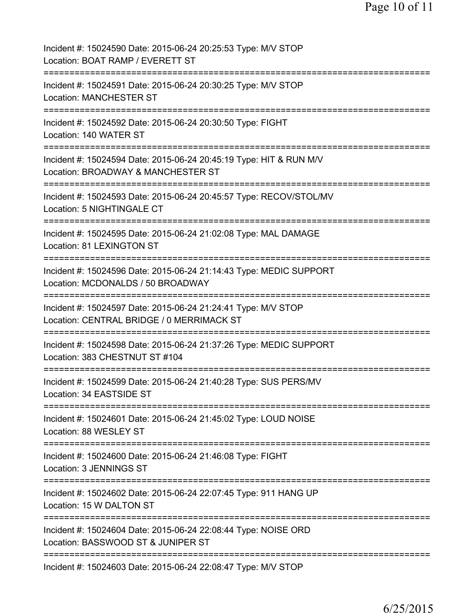| Incident #: 15024590 Date: 2015-06-24 20:25:53 Type: M/V STOP<br>Location: BOAT RAMP / EVERETT ST                                            |
|----------------------------------------------------------------------------------------------------------------------------------------------|
| Incident #: 15024591 Date: 2015-06-24 20:30:25 Type: M/V STOP<br><b>Location: MANCHESTER ST</b>                                              |
| Incident #: 15024592 Date: 2015-06-24 20:30:50 Type: FIGHT<br>Location: 140 WATER ST                                                         |
| Incident #: 15024594 Date: 2015-06-24 20:45:19 Type: HIT & RUN M/V<br>Location: BROADWAY & MANCHESTER ST                                     |
| Incident #: 15024593 Date: 2015-06-24 20:45:57 Type: RECOV/STOL/MV<br>Location: 5 NIGHTINGALE CT                                             |
| Incident #: 15024595 Date: 2015-06-24 21:02:08 Type: MAL DAMAGE<br>Location: 81 LEXINGTON ST                                                 |
| Incident #: 15024596 Date: 2015-06-24 21:14:43 Type: MEDIC SUPPORT<br>Location: MCDONALDS / 50 BROADWAY                                      |
| Incident #: 15024597 Date: 2015-06-24 21:24:41 Type: M/V STOP<br>Location: CENTRAL BRIDGE / 0 MERRIMACK ST                                   |
| :===================================<br>Incident #: 15024598 Date: 2015-06-24 21:37:26 Type: MEDIC SUPPORT<br>Location: 383 CHESTNUT ST #104 |
| Incident #: 15024599 Date: 2015-06-24 21:40:28 Type: SUS PERS/MV<br>Location: 34 EASTSIDE ST                                                 |
| Incident #: 15024601 Date: 2015-06-24 21:45:02 Type: LOUD NOISE<br>Location: 88 WESLEY ST                                                    |
| Incident #: 15024600 Date: 2015-06-24 21:46:08 Type: FIGHT<br>Location: 3 JENNINGS ST                                                        |
| Incident #: 15024602 Date: 2015-06-24 22:07:45 Type: 911 HANG UP<br>Location: 15 W DALTON ST                                                 |
| Incident #: 15024604 Date: 2015-06-24 22:08:44 Type: NOISE ORD<br>Location: BASSWOOD ST & JUNIPER ST                                         |
| ============================<br>Incident #: 15024603 Date: 2015-06-24 22:08:47 Type: M/V STOP                                                |